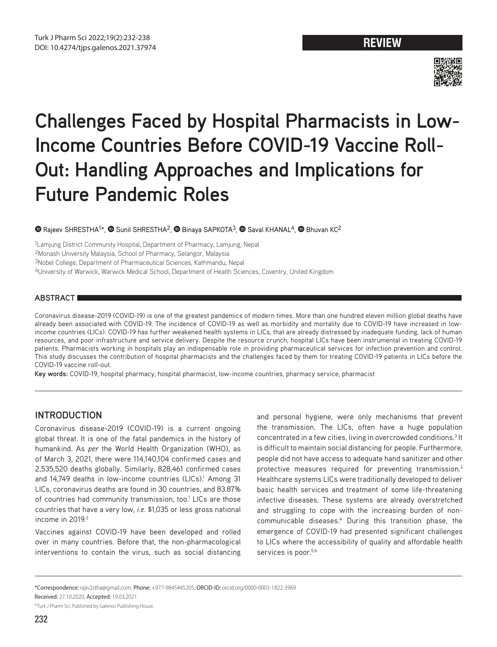

# **Challenges Faced by Hospital Pharmacists in Low-Income Countries Before COVID-19 Vaccine Roll-Out: Handling Approaches and Implications for Future Pandemic Roles**

## **O**Rajeev SHRESTHA<sup>1\*</sup>, **O** Sunil SHRESTHA<sup>2</sup>, **O** Binaya SAPKOTA<sup>3</sup>, **O** Saval KHANAL<sup>4</sup>, **O** Bhuvan KC<sup>2</sup>

1Lamjung District Community Hospital, Department of Pharmacy, Lamjung, Nepal 2Monash University Malaysia, School of Pharmacy, Selangor, Malaysia 3Nobel College, Department of Pharmaceutical Sciences, Kathmandu, Nepal 4University of Warwick, Warwick Medical School, Department of Health Sciences, Coventry, United Kingdom

## **ABSTRACT**

Coronavirus disease-2019 (COVID-19) is one of the greatest pandemics of modern times. More than one hundred eleven million global deaths have already been associated with COVID-19. The incidence of COVID-19 as well as morbidity and mortality due to COVID-19 have increased in lowincome countries (LICs). COVID-19 has further weakened health systems in LICs, that are already distressed by inadequate funding, lack of human resources, and poor infrastructure and service delivery. Despite the resource crunch, hospital LICs have been instrumental in treating COVID-19 patients. Pharmacists working in hospitals play an indispensable role in providing pharmaceutical services for infection prevention and control. This study discusses the contribution of hospital pharmacists and the challenges faced by them for treating COVID-19 patients in LICs before the COVID-19 vaccine roll-out.

**Key words:** COVID-19, hospital pharmacy, hospital pharmacist, low-income countries, pharmacy service, pharmacist

# **INTRODUCTION**

Coronavirus disease-2019 (COVID-19) is a current ongoing global threat. It is one of the fatal pandemics in the history of humankind. As *per* the World Health Organization (WHO), as of March 3, 2021, there were 114,140,104 confirmed cases and 2,535,520 deaths globally. Similarly, 828,461 confirmed cases and 14,749 deaths in low-income countries (LICs).<sup>1</sup> Among 31 LICs, coronavirus deaths are found in 30 countries, and 83.87% of countries had community transmission, too.<sup>1</sup> LICs are those countries that have a very low, *i.e.* \$1,035 or less gross national income in  $2019<sup>2</sup>$ 

Vaccines against COVID-19 have been developed and rolled over in many countries. Before that, the non-pharmacological interventions to contain the virus, such as social distancing and personal hygiene, were only mechanisms that prevent the transmission. The LICs, often have a huge population concentrated in a few cities, living in overcrowded conditions.<sup>3</sup> It is difficult to maintain social distancing for people. Furthermore, people did not have access to adequate hand sanitizer and other protective measures required for preventing transmission.3 Healthcare systems LICs were traditionally developed to deliver basic health services and treatment of some life-threatening infective diseases. These systems are already overstretched and struggling to cope with the increasing burden of noncommunicable diseases.4 During this transition phase, the emergence of COVID-19 had presented significant challenges to LICs where the accessibility of quality and affordable health services is poor.<sup>5,6</sup>

<sup>\*</sup>Correspondence: rajiv2stha@gmail.com, Phone: +977-9845445205, ORCID-ID: orcid.org/0000-0003-1822-3969

Received: 27.10.2020, Accepted: 19.03.2021

<sup>©</sup>Turk J Pharm Sci, Published by Galenos Publishing House.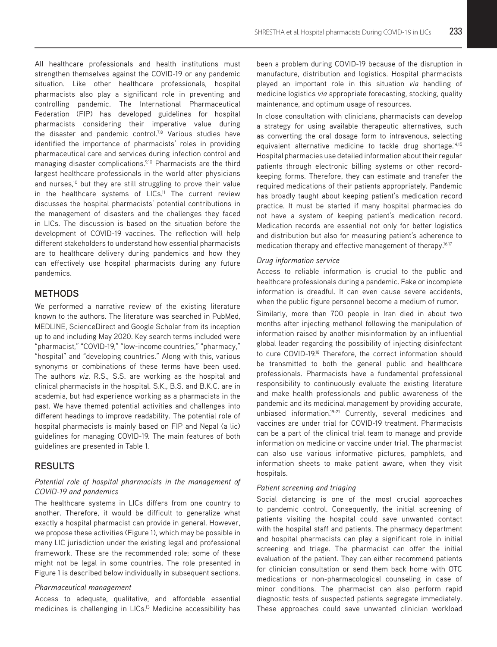All healthcare professionals and health institutions must strengthen themselves against the COVID-19 or any pandemic situation. Like other healthcare professionals, hospital pharmacists also play a significant role in preventing and controlling pandemic. The International Pharmaceutical Federation (FIP) has developed guidelines for hospital pharmacists considering their imperative value during the disaster and pandemic control.<sup>7,8</sup> Various studies have identified the importance of pharmacists' roles in providing pharmaceutical care and services during infection control and managing disaster complications.<sup>9,10</sup> Pharmacists are the third largest healthcare professionals in the world after physicians and nurses,<sup>10</sup> but they are still struggling to prove their value in the healthcare systems of LICs.<sup>11</sup> The current review discusses the hospital pharmacists' potential contributions in the management of disasters and the challenges they faced in LICs. The discussion is based on the situation before the development of COVID-19 vaccines. The reflection will help different stakeholders to understand how essential pharmacists are to healthcare delivery during pandemics and how they can effectively use hospital pharmacists during any future pandemics.

# **METHODS**

We performed a narrative review of the existing literature known to the authors. The literature was searched in PubMed, MEDLINE, ScienceDirect and Google Scholar from its inception up to and including May 2020. Key search terms included were "pharmacist," "COVID-19," "low-income countries," "pharmacy," "hospital" and "developing countries." Along with this, various synonyms or combinations of these terms have been used. The authors *viz.* R.S., S.S. are working as the hospital and clinical pharmacists in the hospital. S.K., B.S. and B.K.C. are in academia, but had experience working as a pharmacists in the past. We have themed potential activities and challenges into different headings to improve readability. The potential role of hospital pharmacists is mainly based on FIP and Nepal (a lic) guidelines for managing COVID-19. The main features of both guidelines are presented in Table 1.

# **RESULTS**

## *Potential role of hospital pharmacists in the management of COVID-19 and pandemics*

The healthcare systems in LICs differs from one country to another. Therefore, it would be difficult to generalize what exactly a hospital pharmacist can provide in general. However, we propose these activities (Figure 1), which may be possible in many LIC jurisdiction under the existing legal and professional framework. These are the recommended role; some of these might not be legal in some countries. The role presented in Figure 1 is described below individually in subsequent sections.

## *Pharmaceutical management*

Access to adequate, qualitative, and affordable essential medicines is challenging in LICs.<sup>13</sup> Medicine accessibility has been a problem during COVID-19 because of the disruption in manufacture, distribution and logistics. Hospital pharmacists played an important role in this situation *via* handling of medicine logistics *via* appropriate forecasting, stocking, quality maintenance, and optimum usage of resources.

In close consultation with clinicians, pharmacists can develop a strategy for using available therapeutic alternatives, such as converting the oral dosage form to intravenous, selecting equivalent alternative medicine to tackle drug shortage.<sup>14,15</sup> Hospital pharmacies use detailed information about their regular patients through electronic billing systems or other recordkeeping forms. Therefore, they can estimate and transfer the required medications of their patients appropriately. Pandemic has broadly taught about keeping patient's medication record practice. It must be started if many hospital pharmacies do not have a system of keeping patient's medication record. Medication records are essential not only for better logistics and distribution but also for measuring patient's adherence to medication therapy and effective management of therapy.<sup>16,17</sup>

## *Drug information service*

Access to reliable information is crucial to the public and healthcare professionals during a pandemic. Fake or incomplete information is dreadful. It can even cause severe accidents, when the public figure personnel become a medium of rumor.

Similarly, more than 700 people in Iran died in about two months after injecting methanol following the manipulation of information raised by another misinformation by an influential global leader regarding the possibility of injecting disinfectant to cure COVID-19.<sup>18</sup> Therefore, the correct information should be transmitted to both the general public and healthcare professionals. Pharmacists have a fundamental professional responsibility to continuously evaluate the existing literature and make health professionals and public awareness of the pandemic and its medicinal management by providing accurate, unbiased information.<sup>19-21</sup> Currently, several medicines and vaccines are under trial for COVID-19 treatment. Pharmacists can be a part of the clinical trial team to manage and provide information on medicine or vaccine under trial. The pharmacist can also use various informative pictures, pamphlets, and information sheets to make patient aware, when they visit hospitals.

## *Patient screening and triaging*

Social distancing is one of the most crucial approaches to pandemic control. Consequently, the initial screening of patients visiting the hospital could save unwanted contact with the hospital staff and patients. The pharmacy department and hospital pharmacists can play a significant role in initial screening and triage. The pharmacist can offer the initial evaluation of the patient. They can either recommend patients for clinician consultation or send them back home with OTC medications or non-pharmacological counseling in case of minor conditions. The pharmacist can also perform rapid diagnostic tests of suspected patients segregate immediately. These approaches could save unwanted clinician workload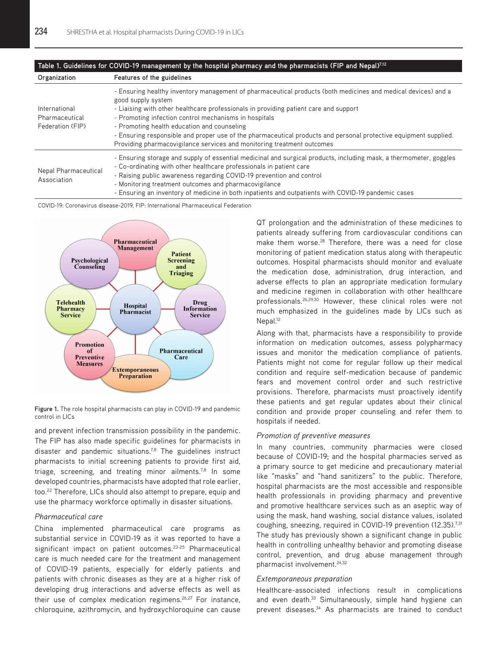| Table 1. Guidelines for COVID-19 management by the hospital pharmacy and the pharmacists (FIP and Nepal)7.12 |                                                                                                                                                                                                                                                                                                                                                                                                                                                                                                                                   |
|--------------------------------------------------------------------------------------------------------------|-----------------------------------------------------------------------------------------------------------------------------------------------------------------------------------------------------------------------------------------------------------------------------------------------------------------------------------------------------------------------------------------------------------------------------------------------------------------------------------------------------------------------------------|
| Organization                                                                                                 | Features of the guidelines                                                                                                                                                                                                                                                                                                                                                                                                                                                                                                        |
| International<br>Pharmaceutical<br>Federation (FIP)                                                          | - Ensuring healthy inventory management of pharmaceutical products (both medicines and medical devices) and a<br>good supply system<br>- Liaising with other healthcare professionals in providing patient care and support<br>- Promoting infection control mechanisms in hospitals<br>- Promoting health education and counseling<br>- Ensuring responsible and proper use of the pharmaceutical products and personal protective equipment supplied.<br>Providing pharmacovigilance services and monitoring treatment outcomes |
| Nepal Pharmaceutical<br>Association                                                                          | - Ensuring storage and supply of essential medicinal and surgical products, including mask, a thermometer, goggles<br>- Co-ordinating with other healthcare professionals in patient care<br>- Raising public awareness regarding COVID-19 prevention and control<br>- Monitoring treatment outcomes and pharmacovigilance<br>- Ensuring an inventory of medicine in both inpatients and outpatients with COVID-19 pandemic cases                                                                                                 |

COVID-19: Coronavirus disease-2019, FIP: International Pharmaceutical Federation



**Figure 1.** The role hospital pharmacists can play in COVID-19 and pandemic control in LICs

and prevent infection transmission possibility in the pandemic. The FIP has also made specific guidelines for pharmacists in disaster and pandemic situations.<sup>7,8</sup> The guidelines instruct pharmacists to initial screening patients to provide first aid, triage, screening, and treating minor ailments.<sup>7,8</sup> In some developed countries, pharmacists have adopted that role earlier, too.<sup>22</sup> Therefore, LICs should also attempt to prepare, equip and use the pharmacy workforce optimally in disaster situations.

#### *Pharmaceutical care*

China implemented pharmaceutical care programs as substantial service in COVID-19 as it was reported to have a significant impact on patient outcomes.<sup>23-25</sup> Pharmaceutical care is much needed care for the treatment and management of COVID-19 patients, especially for elderly patients and patients with chronic diseases as they are at a higher risk of developing drug interactions and adverse effects as well as their use of complex medication regimens.<sup>26,27</sup> For instance, chloroquine, azithromycin, and hydroxychloroquine can cause

QT prolongation and the administration of these medicines to patients already suffering from cardiovascular conditions can make them worse.<sup>28</sup> Therefore, there was a need for close monitoring of patient medication status along with therapeutic outcomes. Hospital pharmacists should monitor and evaluate the medication dose, administration, drug interaction, and adverse effects to plan an appropriate medication formulary and medicine regimen in collaboration with other healthcare professionals.26,29,30 However, these clinical roles were not much emphasized in the guidelines made by LICs such as Nepal.<sup>12</sup>

Along with that, pharmacists have a responsibility to provide information on medication outcomes, assess polypharmacy issues and monitor the medication compliance of patients. Patients might not come for regular follow up their medical condition and require self-medication because of pandemic fears and movement control order and such restrictive provisions. Therefore, pharmacists must proactively identify these patients and get regular updates about their clinical condition and provide proper counseling and refer them to hospitals if needed.

## *Promotion of preventive measures*

In many countries, community pharmacies were closed because of COVID-19; and the hospital pharmacies served as a primary source to get medicine and precautionary material like "masks" and "hand sanitizers" to the public. Therefore, hospital pharmacists are the most accessible and responsible health professionals in providing pharmacy and preventive and promotive healthcare services such as an aseptic way of using the mask, hand washing, social distance values, isolated coughing, sneezing, required in COVID-19 prevention (12.35).<sup>7,31</sup> The study has previously shown a significant change in public health in controlling unhealthy behavior and promoting disease control, prevention, and drug abuse management through pharmacist involvement.24,32

#### *Extemporaneous preparation*

Healthcare-associated infections result in complications and even death.<sup>33</sup> Simultaneously, simple hand hygiene can prevent diseases.<sup>34</sup> As pharmacists are trained to conduct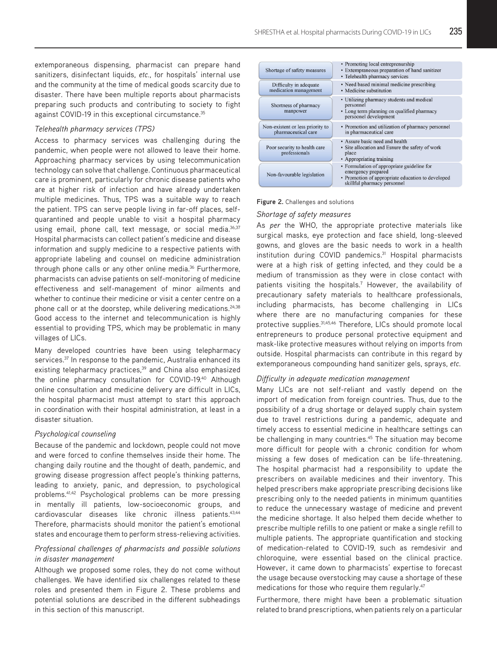extemporaneous dispensing, pharmacist can prepare hand sanitizers, disinfectant liquids, *etc.*, for hospitals' internal use and the community at the time of medical goods scarcity due to disaster. There have been multiple reports about pharmacists preparing such products and contributing to society to fight against COVID-19 in this exceptional circumstance.<sup>35</sup>

## *Telehealth pharmacy services (TPS)*

Access to pharmacy services was challenging during the pandemic, when people were not allowed to leave their home. Approaching pharmacy services by using telecommunication technology can solve that challenge. Continuous pharmaceutical care is prominent, particularly for chronic disease patients who are at higher risk of infection and have already undertaken multiple medicines. Thus, TPS was a suitable way to reach the patient. TPS can serve people living in far-off places, selfquarantined and people unable to visit a hospital pharmacy using email, phone call, text message, or social media.<sup>36,37</sup> Hospital pharmacists can collect patient's medicine and disease information and supply medicine to a respective patients with appropriate labeling and counsel on medicine administration through phone calls or any other online media.<sup>36</sup> Furthermore, pharmacists can advise patients on self-monitoring of medicine effectiveness and self-management of minor ailments and whether to continue their medicine or visit a center centre on a phone call or at the doorstep, while delivering medications.<sup>24,38</sup> Good access to the internet and telecommunication is highly essential to providing TPS, which may be problematic in many villages of LICs.

Many developed countries have been using telepharmacy services.<sup>37</sup> In response to the pandemic, Australia enhanced its existing telepharmacy practices,<sup>39</sup> and China also emphasized the online pharmacy consultation for COVID-19.<sup>40</sup> Although online consultation and medicine delivery are difficult in LICs, the hospital pharmacist must attempt to start this approach in coordination with their hospital administration, at least in a disaster situation.

#### *Psychological counseling*

Because of the pandemic and lockdown, people could not move and were forced to confine themselves inside their home. The changing daily routine and the thought of death, pandemic, and growing disease progression affect people's thinking patterns, leading to anxiety, panic, and depression, to psychological problems.41,42 Psychological problems can be more pressing in mentally ill patients, low-socioeconomic groups, and cardiovascular diseases like chronic illness patients.<sup>43,44</sup> Therefore, pharmacists should monitor the patient's emotional states and encourage them to perform stress-relieving activities.

## *Professional challenges of pharmacists and possible solutions in disaster management*

Although we proposed some roles, they do not come without challenges. We have identified six challenges related to these roles and presented them in Figure 2. These problems and potential solutions are described in the different subheadings in this section of this manuscript.



#### **Figure 2.** Challenges and solutions

### *Shortage of safety measures*

As *per* the WHO, the appropriate protective materials like surgical masks, eye protection and face shield, long-sleeved gowns, and gloves are the basic needs to work in a health institution during COVID pandemics.<sup>31</sup> Hospital pharmacists were at a high risk of getting infected, and they could be a medium of transmission as they were in close contact with patients visiting the hospitals.<sup>7</sup> However, the availability of precautionary safety materials to healthcare professionals, including pharmacists, has become challenging in LICs where there are no manufacturing companies for these protective supplies.<sup>31,45,46</sup> Therefore, LICs should promote local entrepreneurs to produce personal protective equipment and mask-like protective measures without relying on imports from outside. Hospital pharmacists can contribute in this regard by extemporaneous compounding hand sanitizer gels, sprays, *etc*.

#### *Difficulty in adequate medication management*

Many LICs are not self-reliant and vastly depend on the import of medication from foreign countries. Thus, due to the possibility of a drug shortage or delayed supply chain system due to travel restrictions during a pandemic, adequate and timely access to essential medicine in healthcare settings can be challenging in many countries.<sup>45</sup> The situation may become more difficult for people with a chronic condition for whom missing a few doses of medication can be life-threatening. The hospital pharmacist had a responsibility to update the prescribers on available medicines and their inventory. This helped prescribers make appropriate prescribing decisions like prescribing only to the needed patients in minimum quantities to reduce the unnecessary wastage of medicine and prevent the medicine shortage. It also helped them decide whether to prescribe multiple refills to one patient or make a single refill to multiple patients. The appropriate quantification and stocking of medication-related to COVID-19, such as remdesivir and chloroquine, were essential based on the clinical practice. However, it came down to pharmacists' expertise to forecast the usage because overstocking may cause a shortage of these medications for those who require them regularly.<sup>47</sup>

Furthermore, there might have been a problematic situation related to brand prescriptions, when patients rely on a particular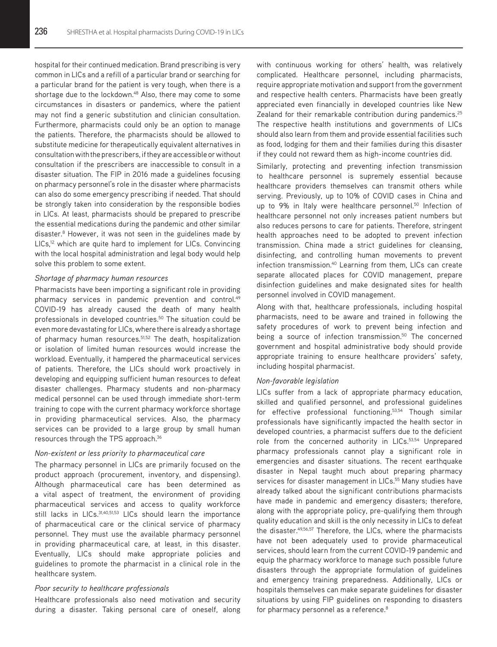hospital for their continued medication. Brand prescribing is very common in LICs and a refill of a particular brand or searching for a particular brand for the patient is very tough, when there is a shortage due to the lockdown.<sup>48</sup> Also, there may come to some circumstances in disasters or pandemics, where the patient may not find a generic substitution and clinician consultation. Furthermore, pharmacists could only be an option to manage the patients. Therefore, the pharmacists should be allowed to substitute medicine for therapeutically equivalent alternatives in consultation with the prescribers, if they are accessible or without consultation if the prescribers are inaccessible to consult in a disaster situation. The FIP in 2016 made a guidelines focusing on pharmacy personnel's role in the disaster where pharmacists can also do some emergency prescribing if needed. That should be strongly taken into consideration by the responsible bodies in LICs. At least, pharmacists should be prepared to prescribe the essential medications during the pandemic and other similar disaster.8 However, it was not seen in the guidelines made by LICs,<sup>12</sup> which are quite hard to implement for LICs. Convincing with the local hospital administration and legal body would help solve this problem to some extent.

## *Shortage of pharmacy human resources*

Pharmacists have been importing a significant role in providing pharmacy services in pandemic prevention and control.<sup>49</sup> COVID-19 has already caused the death of many health professionals in developed countries.<sup>50</sup> The situation could be even more devastating for LICs, where there is already a shortage of pharmacy human resources.<sup>51,52</sup> The death, hospitalization or isolation of limited human resources would increase the workload. Eventually, it hampered the pharmaceutical services of patients. Therefore, the LICs should work proactively in developing and equipping sufficient human resources to defeat disaster challenges. Pharmacy students and non-pharmacy medical personnel can be used through immediate short-term training to cope with the current pharmacy workforce shortage in providing pharmaceutical services. Also, the pharmacy services can be provided to a large group by small human resources through the TPS approach.<sup>36</sup>

## *Non-existent or less priority to pharmaceutical care*

The pharmacy personnel in LICs are primarily focused on the product approach (procurement, inventory, and dispensing). Although pharmaceutical care has been determined as a vital aspect of treatment, the environment of providing pharmaceutical services and access to quality workforce still lacks in LICs. 31,40,51,53 LICs should learn the importance of pharmaceutical care or the clinical service of pharmacy personnel. They must use the available pharmacy personnel in providing pharmaceutical care, at least, in this disaster. Eventually, LICs should make appropriate policies and guidelines to promote the pharmacist in a clinical role in the healthcare system.

#### *Poor security to healthcare professionals*

Healthcare professionals also need motivation and security during a disaster. Taking personal care of oneself, along

with continuous working for others' health, was relatively complicated. Healthcare personnel, including pharmacists, require appropriate motivation and support from the government and respective health centers. Pharmacists have been greatly appreciated even financially in developed countries like New Zealand for their remarkable contribution during pandemics.<sup>25</sup> The respective health institutions and governments of LICs should also learn from them and provide essential facilities such as food, lodging for them and their families during this disaster if they could not reward them as high-income countries did.

Similarly, protecting and preventing infection transmission to healthcare personnel is supremely essential because healthcare providers themselves can transmit others while serving. Previously, up to 10% of COVID cases in China and up to 9% in Italy were healthcare personnel.<sup>50</sup> Infection of healthcare personnel not only increases patient numbers but also reduces persons to care for patients. Therefore, stringent health approaches need to be adopted to prevent infection transmission. China made a strict guidelines for cleansing, disinfecting, and controlling human movements to prevent infection transmission.<sup>40</sup> Learning from them, LICs can create separate allocated places for COVID management, prepare disinfection guidelines and make designated sites for health personnel involved in COVID management.

Along with that, healthcare professionals, including hospital pharmacists, need to be aware and trained in following the safety procedures of work to prevent being infection and being a source of infection transmission.<sup>50</sup> The concerned government and hospital administrative body should provide appropriate training to ensure healthcare providers' safety, including hospital pharmacist.

## *Non-favorable legislation*

LICs suffer from a lack of appropriate pharmacy education, skilled and qualified personnel, and professional guidelines for effective professional functioning.53,54 Though similar professionals have significantly impacted the health sector in developed countries, a pharmacist suffers due to the deficient role from the concerned authority in LICs.<sup>53,54</sup> Unprepared pharmacy professionals cannot play a significant role in emergencies and disaster situations. The recent earthquake disaster in Nepal taught much about preparing pharmacy services for disaster management in LICs.<sup>55</sup> Many studies have already talked about the significant contributions pharmacists have made in pandemic and emergency disasters; therefore, along with the appropriate policy, pre-qualifying them through quality education and skill is the only necessity in LICs to defeat the disaster.<sup>49,56,57</sup> Therefore, the LICs, where the pharmacists have not been adequately used to provide pharmaceutical services, should learn from the current COVID-19 pandemic and equip the pharmacy workforce to manage such possible future disasters through the appropriate formulation of guidelines and emergency training preparedness. Additionally, LICs or hospitals themselves can make separate guidelines for disaster situations by using FIP guidelines on responding to disasters for pharmacy personnel as a reference.<sup>8</sup>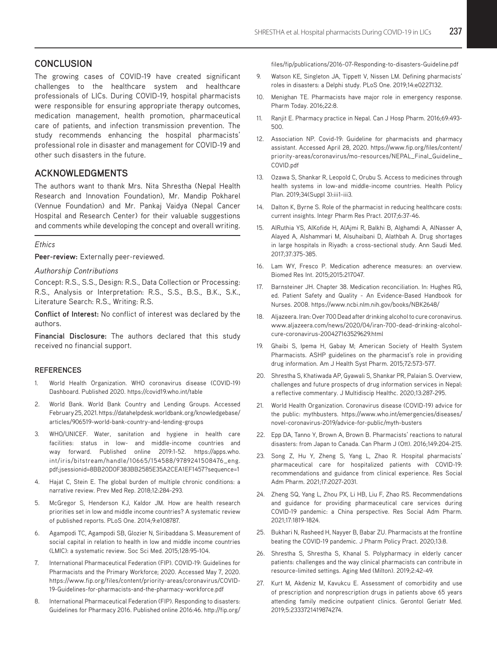# **CONCLUSION**

The growing cases of COVID-19 have created significant challenges to the healthcare system and healthcare professionals of LICs. During COVID-19, hospital pharmacists were responsible for ensuring appropriate therapy outcomes, medication management, health promotion, pharmaceutical care of patients, and infection transmission prevention. The study recommends enhancing the hospital pharmacists' professional role in disaster and management for COVID-19 and other such disasters in the future.

# **ACKNOWLEDGMENTS**

The authors want to thank Mrs. Nita Shrestha (Nepal Health Research and Innovation Foundation), Mr. Mandip Pokharel (Vennue Foundation) and Mr. Pankaj Vaidya (Nepal Cancer Hospital and Research Center) for their valuable suggestions and comments while developing the concept and overall writing.

## *Ethics*

**Peer-review:** Externally peer-reviewed.

## *Authorship Contributions*

Concept: R.S., S.S., Design: R.S., Data Collection or Processing: R.S., Analysis or Interpretation: R.S., S.S., B.S., B.K., S.K., Literature Search: R.S., Writing: R.S.

**Conflict of Interest:** No conflict of interest was declared by the authors.

**Financial Disclosure:** The authors declared that this study received no financial support.

## **REFERENCES**

- 1. World Health Organization. WHO coronavirus disease (COVID-19) Dashboard. Published 2020. https://covid19.who.int/table
- 2. World Bank. World Bank Country and Lending Groups. Accessed February 25, 2021. https://datahelpdesk.worldbank.org/knowledgebase/ articles/906519-world-bank-country-and-lending-groups
- 3. WHO/UNICEF. Water, sanitation and hygiene in health care facilities: status in low- and middle-income countries and way forward. Published online 2019:1-52. https://apps.who. int/iris/bitstream/handle/10665/154588/9789241508476\_eng. pdf;jsessionid=8BB20D0F383BB2585E35A2CEA1EF1457?sequence=1
- 4. Hajat C, Stein E. The global burden of multiple chronic conditions: a narrative review. Prev Med Rep. 2018;12:284-293.
- 5. McGregor S, Henderson KJ, Kaldor JM. How are health research priorities set in low and middle income countries? A systematic review of published reports. PLoS One. 2014;9:e108787.
- 6. Agampodi TC, Agampodi SB, Glozier N, Siribaddana S. Measurement of social capital in relation to health in low and middle income countries (LMIC): a systematic review. Soc Sci Med. 2015;128:95-104.
- 7. International Pharmaceutical Federation (FIP). COVID-19: Guidelines for Pharmacists and the Primary Workforce; 2020. Accessed May 7, 2020. https://www.fip.org/files/content/priority-areas/coronavirus/COVID-19-Guidelines-for-pharmacists-and-the-pharmacy-workforce.pdf
- 8. International Pharmaceutical Federation (FIP). Responding to disasters: Guidelines for Pharmacy 2016. Published online 2016:46. http://fip.org/

files/fip/publications/2016-07-Responding-to-disasters-Guideline.pdf

- 9. Watson KE, Singleton JA, Tippett V, Nissen LM. Defining pharmacists' roles in disasters: a Delphi study. PLoS One. 2019;14:e0227132.
- 10. Menighan TE. Pharmacists have major role in emergency response. Pharm Today. 2016;22:8.
- 11. Ranjit E. Pharmacy practice in Nepal. Can J Hosp Pharm. 2016;69:493- 500.
- 12. Association NP. Covid-19: Guideline for pharmacists and pharmacy assistant. Accessed April 28, 2020. https://www.fip.org/files/content/ priority-areas/coronavirus/mo-resources/NEPAL\_Final\_Guideline\_ COVID.pdf
- 13. Ozawa S, Shankar R, Leopold C, Orubu S. Access to medicines through health systems in low-and middle-income countries. Health Policy Plan. 2019;34(Suppl 3):iii1-iii3.
- 14. Dalton K, Byrne S. Role of the pharmacist in reducing healthcare costs: current insights. Integr Pharm Res Pract. 2017;6:37-46.
- 15. AlRuthia YS, AlKofide H, AlAjmi R, Balkhi B, Alghamdi A, AlNasser A, Alayed A, Alshammari M, Alsuhaibani D, Alathbah A. Drug shortages in large hospitals in Riyadh: a cross-sectional study. Ann Saudi Med. 2017;37:375-385.
- 16. Lam WY, Fresco P. Medication adherence measures: an overview. Biomed Res Int. 2015;2015:217047.
- 17. Barnsteiner JH. Chapter 38. Medication reconciliation. In: Hughes RG, ed. Patient Safety and Quality - An Evidence-Based Handbook for Nurses. 2008. https://www.ncbi.nlm.nih.gov/books/NBK2648/
- 18. Aljazeera. Iran: Over 700 Dead after drinking alcohol to cure coronavirus. www.aljazeera.com/news/2020/04/iran-700-dead-drinking-alcoholcure-coronavirus-200427163529629.html
- 19. Ghaibi S, Ipema H, Gabay M; American Society of Health System Pharmacists. ASHP guidelines on the pharmacist's role in providing drug information. Am J Health Syst Pharm. 2015;72:573-577.
- 20. Shrestha S, Khatiwada AP, Gyawali S, Shankar PR, Palaian S. Overview, challenges and future prospects of drug information services in Nepal: a reflective commentary. J Multidiscip Healthc. 2020;13:287-295.
- 21. World Health Organization. Coronavirus disease (COVID-19) advice for the public: mythbusters. https://www.who.int/emergencies/diseases/ novel-coronavirus-2019/advice-for-public/myth-busters
- 22. Epp DA, Tanno Y, Brown A, Brown B. Pharmacists' reactions to natural disasters: from Japan to Canada. Can Pharm J (Ott). 2016;149:204-215.
- 23. Song Z, Hu Y, Zheng S, Yang L, Zhao R. Hospital pharmacists' pharmaceutical care for hospitalized patients with COVID-19: recommendations and guidance from clinical experience. Res Social Adm Pharm. 2021;17:2027-2031.
- 24. Zheng SQ, Yang L, Zhou PX, Li HB, Liu F, Zhao RS. Recommendations and guidance for providing pharmaceutical care services during COVID-19 pandemic: a China perspective. Res Social Adm Pharm. 2021;17:1819-1824.
- 25. Bukhari N, Rasheed H, Nayyer B, Babar ZU. Pharmacists at the frontline beating the COVID-19 pandemic. J Pharm Policy Pract. 2020;13:8.
- 26. Shrestha S, Shrestha S, Khanal S. Polypharmacy in elderly cancer patients: challenges and the way clinical pharmacists can contribute in resource-limited settings. Aging Med (Milton). 2019;2:42-49.
- 27. Kurt M, Akdeniz M, Kavukcu E. Assessment of comorbidity and use of prescription and nonprescription drugs in patients above 65 years attending family medicine outpatient clinics. Gerontol Geriatr Med. 2019;5:2333721419874274.